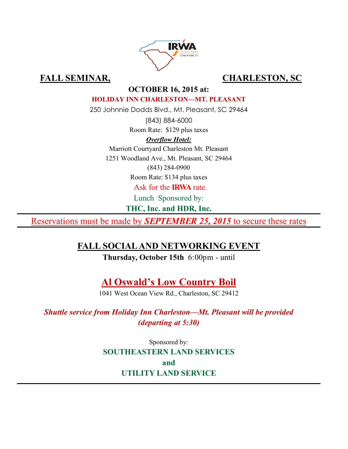

# FALL SEMINAR, CHARLESTON, SC

## **OCTOBER 16, 2015 at:**

#### **HOLIDAY INN CHARLESTON—MT. PLEASANT**

250 Johnnie Dodds Blvd., Mt. Pleasant, SC 29464

(843) 884-6000 Room Rate: \$129 plus taxes

## *Overflow Hotel:*

Marriott Courtyard Charleston Mt. Pleasant

1251 Woodland Ave., Mt. Pleasant, SC 29464

(843) 284-0900

Room Rate: \$134 plus taxes

Ask for the **IRWA** rate.

Lunch Sponsored by:

**THC, Inc. and HDR, Inc.**

Reservations must be made by *SEPTEMBER 25, 2015* to secure these rates

# **FALL SOCIAL AND NETWORKING EVENT**

**Thursday, October 15th** 6:00pm - until

**Al Oswald's Low Country Boil**

1041 West Ocean View Rd., Charleston, SC 29412

*Shuttle service from Holiday Inn Charleston—Mt. Pleasant will be provided (departing at 5:30)*

> Sponsored by: **SOUTHEASTERN LAND SERVICES and UTILITY LAND SERVICE**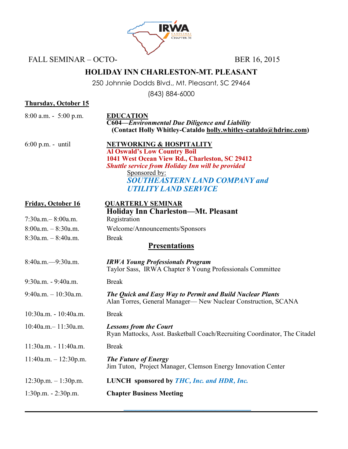

FALL SEMINAR – OCTO-<br>BER 16, 2015

# **HOLIDAY INN CHARLESTON-MT. PLEASANT**

250 Johnnie Dodds Blvd., Mt. Pleasant, SC 29464

(843) 884-6000

#### **Thursday, October 15**

8:00 a.m. - 5:00 p.m. **EDUCATION**

**C604—***Environmental Due Diligence and Liability*  **(Contact Holly Whitley-Cataldo holly.whitley-cataldo@hdrinc.com)**

| $6:00$ p.m. - until | <b>NETWORKING &amp; HOSPITALITY</b>                      |
|---------------------|----------------------------------------------------------|
|                     | <b>Al Oswald's Low Country Boil</b>                      |
|                     | 1041 West Ocean View Rd., Charleston, SC 29412           |
|                     | <b>Shuttle service from Holiday Inn will be provided</b> |
|                     | Sponsored by:                                            |
|                     | <b>SOUTHEASTERN LAND COMPANY and</b>                     |
|                     | <b>UTILITY LAND SERVICE</b>                              |

## **Friday, October 16 QUARTERLY SEMINAR**

# **Holiday Inn Charleston—Mt. Pleasant** 7:30a.m.– 8:00a.m. Registration 8:00a.m. – 8:30a.m. Welcome/Announcements/Sponsors 8:30a.m. – 8:40a.m. Break **Presentations** 8:40a.m.—9:30a.m. *IRWA Young Professionals Program* Taylor Sass, IRWA Chapter 8 Young Professionals Committee 9:30a.m. - 9:40a.m. Break 9:40a.m. – 10:30a.m. *The Quick and Easy Way to Permit and Build Nuclear Plants*  Alan Torres, General Manager— New Nuclear Construction, SCANA 10:30a.m. - 10:40a.m. Break 10:40a.m.– 11:30a.m. *Lessons from the Court* Ryan Mattocks, Asst. Basketball Coach/Recruiting Coordinator, The Citadel 11:30a.m. - 11:40a.m. Break 11:40a.m. – 12:30p.m. *The Future of Energy* Jim Tuton, Project Manager, Clemson Energy Innovation Center 12:30p.m. – 1:30p.m. **LUNCH sponsored by** *THC, Inc. and HDR, Inc.* 1:30p.m. - 2:30p.m. **Chapter Business Meeting**

**\_\_\_\_\_\_\_\_\_\_\_\_\_\_\_\_\_\_\_\_\_\_\_\_\_\_\_\_\_\_\_\_**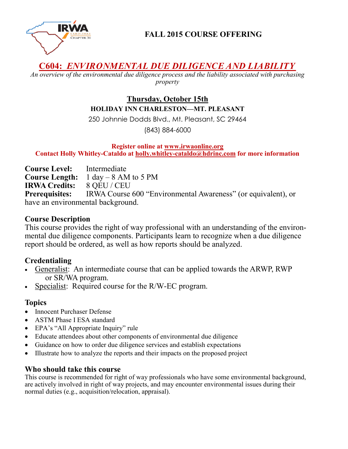

**FALL 2015 COURSE OFFERING**

# **C604:** *ENVIRONMENTAL DUE DILIGENCE AND LIABILITY*

*An overview of the environmental due diligence process and the liability associated with purchasing property*

## **Thursday, October 15th HOLIDAY INN CHARLESTON—MT. PLEASANT**

250 Johnnie Dodds Blvd., Mt. Pleasant, SC 29464

(843) 884-6000

**Register online at www.irwaonline.org Contact Holly Whitley-Cataldo at holly.whitley-cataldo@hdrinc.com for more information**

**Course Level:** Intermediate **Course Length:** 1 day – 8 AM to 5 PM **IRWA Credits:** 8 QEU / CEU **Prerequisites:** IRWA Course 600 "Environmental Awareness" (or equivalent), or have an environmental background.

## **Course Description**

This course provides the right of way professional with an understanding of the environmental due diligence components. Participants learn to recognize when a due diligence report should be ordered, as well as how reports should be analyzed.

## **Credentialing**

- Generalist: An intermediate course that can be applied towards the ARWP, RWP or SR/WA program.
- Specialist: Required course for the R/W-EC program.

## **Topics**

- Innocent Purchaser Defense
- ASTM Phase I ESA standard
- EPA's "All Appropriate Inquiry" rule
- Educate attendees about other components of environmental due diligence
- Guidance on how to order due diligence services and establish expectations
- Illustrate how to analyze the reports and their impacts on the proposed project

## **Who should take this course**

This course is recommended for right of way professionals who have some environmental background, are actively involved in right of way projects, and may encounter environmental issues during their normal duties (e.g., acquisition/relocation, appraisal).